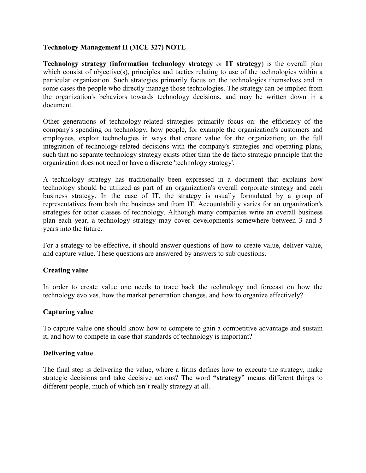## **Technology Management II (MCE 327) NOTE**

**Technology strategy** (**information technology strategy** or **IT strategy**) is the overall plan which consist of objective(s), principles and tactics relating to use of the technologies within a particular organization. Such strategies primarily focus on the technologies themselves and in some cases the people who directly manage those technologies. The strategy can be implied from the organization's behaviors towards technology decisions, and may be written down in a document.

Other generations of technology-related strategies primarily focus on: the efficiency of the company's spending on technology; how people, for example the organization's customers and employees, exploit technologies in ways that create value for the organization; on the full integration of technology-related decisions with the company's strategies and operating plans, such that no separate technology strategy exists other than the de facto strategic principle that the organization does not need or have a discrete 'technology strategy'.

A technology strategy has traditionally been expressed in a document that explains how technology should be utilized as part of an organization's overall [corporate strategy](https://en.wikipedia.org/wiki/Corporate_strategy) and each [business strategy](https://en.wikipedia.org/wiki/Business_strategy). In the case of IT, the strategy is usually formulated by a group of representatives from both the business and from IT. Accountability varies for an organization's strategies for other classes of technology. Although many companies write an overall business plan each year, a technology strategy may cover developments somewhere between 3 and 5 years into the future.

For a strategy to be effective, it should answer questions of how to create value, deliver value, and capture value. These questions are answered by answers to sub questions.

### **Creating value**

In order to create value one needs to trace back the technology and forecast on how the technology evolves, how the market penetration changes, and how to organize effectively?

### **Capturing value**

To capture value one should know how to compete to gain a competitive advantage and sustain it, and how to compete in case that standards of technology is important?

### **Delivering value**

The final step is delivering the value, where a firms defines how to execute the strategy, make strategic decisions and take decisive actions? The word **"strategy**" means different things to different people, much of which isn't really strategy at all.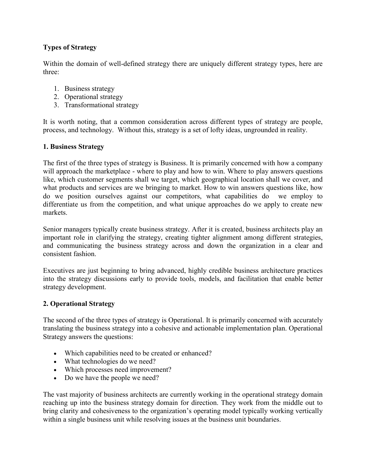# **Types of Strategy**

Within the domain of well-defined strategy there are uniquely different strategy types, here are three:

- 1. Business strategy
- 2. Operational strategy
- 3. Transformational strategy

It is worth noting, that a common consideration across different types of strategy are people, process, and technology. Without this, strategy is a set of lofty ideas, ungrounded in reality.

## **1. Business Strategy**

The first of the three types of strategy is Business. It is primarily concerned with how a company will approach the marketplace - where to play and how to win. Where to play answers questions like, which customer segments shall we target, which geographical location shall we cover, and what products and services are we bringing to market. How to win answers questions like, how do we position ourselves against our competitors, what capabilities do we employ to differentiate us from the competition, and what unique approaches do we apply to create new markets.

Senior managers typically create business strategy. After it is created, business architects play an important role in clarifying the strategy, creating tighter alignment among different strategies, and communicating the business strategy across and down the organization in a clear and consistent fashion.

Executives are just beginning to bring advanced, highly credible business architecture practices into the strategy discussions early to provide tools, models, and facilitation that enable better strategy development.

### **2. Operational Strategy**

The second of the three types of strategy is Operational. It is primarily concerned with accurately translating the business strategy into a cohesive and actionable implementation plan. Operational Strategy answers the questions:

- Which capabilities need to be created or enhanced?
- What technologies do we need?
- Which processes need improvement?
- Do we have the people we need?

The vast majority of business architects are currently working in the operational strategy domain reaching up into the business strategy domain for direction. They work from the middle out to bring clarity and cohesiveness to the organization's operating model typically working vertically within a single business unit while resolving issues at the business unit boundaries.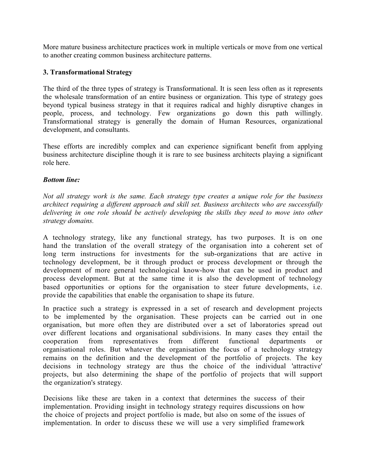More mature business architecture practices work in multiple verticals or move from one vertical to another creating common business architecture patterns.

## **3. Transformational Strategy**

The third of the three types of strategy is Transformational. It is seen less often as it represents the wholesale transformation of an entire business or organization. This type of strategy goes beyond typical business strategy in that it requires radical and highly disruptive changes in people, process, and technology. Few organizations go down this path willingly. Transformational strategy is generally the domain of Human Resources, organizational development, and consultants.

These efforts are incredibly complex and can experience significant benefit from applying business architecture discipline though it is rare to see business architects playing a significant role here.

## *Bottom line:*

*Not all strategy work is the same. Each strategy type creates a unique role for the business architect requiring a different approach and skill set. Business architects who are successfully delivering in one role should be actively developing the skills they need to move into other strategy domains.*

A technology strategy, like any functional strategy, has two purposes. It is on one hand the translation of the overall strategy of the organisation into a coherent set of long term instructions for investments for the sub-organizations that are active in technology development, be it through product or process development or through the development of more general technological know-how that can be used in product and process development. But at the same time it is also the development of technology based opportunities or options for the organisation to steer future developments, i.e. provide the capabilities that enable the organisation to shape its future.

In practice such a strategy is expressed in a set of research and development projects to be implemented by the organisation. These projects can be carried out in one organisation, but more often they are distributed over a set of laboratories spread out over different locations and organisational subdivisions. In many cases they entail the cooperation from representatives from different functional departments or organisational roles. But whatever the organisation the focus of a technology strategy remains on the definition and the development of the portfolio of projects. The key decisions in technology strategy are thus the choice of the individual 'attractive' projects, but also determining the shape of the portfolio of projects that will support the organization's strategy.

Decisions like these are taken in a context that determines the success of their implementation. Providing insight in technology strategy requires discussions on how the choice of projects and project portfolio is made, but also on some of the issues of implementation. In order to discuss these we will use a very simplified framework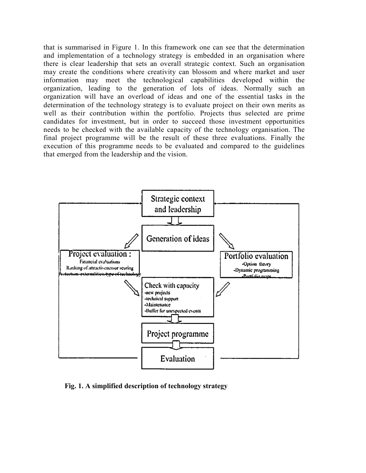that is summarised in Figure 1. In this framework one can see that the determination and implementation of a technology strategy is embedded in an organisation where there is clear leadership that sets an overall strategic context. Such an organisation may create the conditions where creativity can blossom and where market and user information may meet the technological capabilities developed within the organization, leading to the generation of lots of ideas. Normally such an organization will have an overload of ideas and one of the essential tasks in the determination of the technology strategy is to evaluate project on their own merits as well as their contribution within the portfolio. Projects thus selected are prime candidates for investment, but in order to succeed those investment opportunities needs to be checked with the available capacity of the technology organisation. The final project programme will be the result of these three evaluations. Finally the execution of this programme needs to be evaluated and compared to the guidelines that emerged from the leadership and the vision.



**Fig. 1. A simplified description of technology strategy**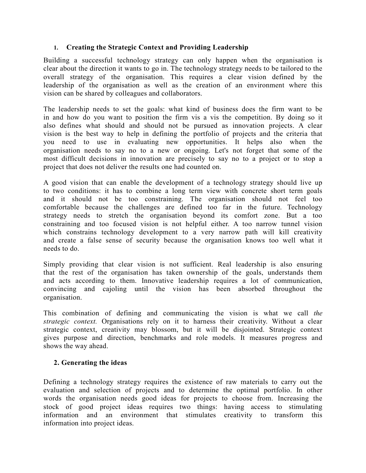## **1. Creating the Strategic Context and Providing Leadership**

Building a successful technology strategy can only happen when the organisation is clear about the direction it wants to go in. The technology strategy needs to be tailored to the overall strategy of the organisation. This requires a clear vision defined by the leadership of the organisation as well as the creation of an environment where this vision can be shared by colleagues and collaborators.

The leadership needs to set the goals: what kind of business does the firm want to be in and how do you want to position the firm vis a vis the competition. By doing so it also defines what should and should not be pursued as innovation projects. A clear vision is the best way to help in defining the portfolio of projects and the criteria that you need to use in evaluating new opportunities. It helps also when the organisation needs to say no to a new or ongoing. Let's not forget that some of the most difficult decisions in innovation are precisely to say no to a project or to stop a project that does not deliver the results one had counted on.

A good vision that can enable the development of a technology strategy should live up to two conditions: it has to combine a long term view with concrete short term goals and it should not be too constraining. The organisation should not feel too comfortable because the challenges are defined too far in the future. Technology strategy needs to stretch the organisation beyond its comfort zone. But a too constraining and too focused vision is not helpful either. A too narrow tunnel vision which constrains technology development to a very narrow path will kill creativity and create a false sense of security because the organisation knows too well what it needs to do.

Simply providing that clear vision is not sufficient. Real leadership is also ensuring that the rest of the organisation has taken ownership of the goals, understands them and acts according to them. Innovative leadership requires a lot of communication, convincing and cajoling until the vision has been absorbed throughout the organisation.

This combination of defining and communicating the vision is what we call *the strategic context.* Organisations rely on it to harness their creativity. Without a clear strategic context, creativity may blossom, but it will be disjointed. Strategic context gives purpose and direction, benchmarks and role models. It measures progress and shows the way ahead.

## **2. Generating the ideas**

Defining a technology strategy requires the existence of raw materials to carry out the evaluation and selection of projects and to determine the optimal portfolio. In other words the organisation needs good ideas for projects to choose from. Increasing the stock of good project ideas requires two things: having access to stimulating information and an environment that stimulates creativity to transform this information into project ideas.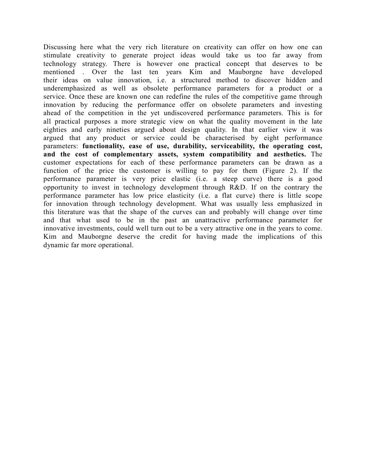Discussing here what the very rich literature on creativity can offer on how one can stimulate creativity to generate project ideas would take us too far away from technology strategy. There is however one practical concept that deserves to be mentioned . Over the last ten years Kim and Mauborgne have developed their ideas on value innovation, i.e. a structured method to discover hidden and underemphasized as well as obsolete performance parameters for a product or a service. Once these are known one can redefine the rules of the competitive game through innovation by reducing the performance offer on obsolete parameters and investing ahead of the competition in the yet undiscovered performance parameters. This is for all practical purposes a more strategic view on what the quality movement in the late eighties and early nineties argued about design quality. In that earlier view it was argued that any product or service could be characterised by eight performance parameters: **functionality, ease of use, durability, serviceability, the operating cost, and the cost of complementary assets, system compatibility and aesthetics.** The customer expectations for each of these performance parameters can be drawn as a function of the price the customer is willing to pay for them (Figure 2). If the performance parameter is very price elastic (i.e. a steep curve) there is a good opportunity to invest in technology development through R&D. If on the contrary the performance parameter has low price elasticity (i.e. a flat curve) there is little scope for innovation through technology development. What was usually less emphasized in this literature was that the shape of the curves can and probably will change over time and that what used to be in the past an unattractive performance parameter for innovative investments, could well turn out to be a very attractive one in the years to come. Kim and Mauborgne deserve the credit for having made the implications of this dynamic far more operational.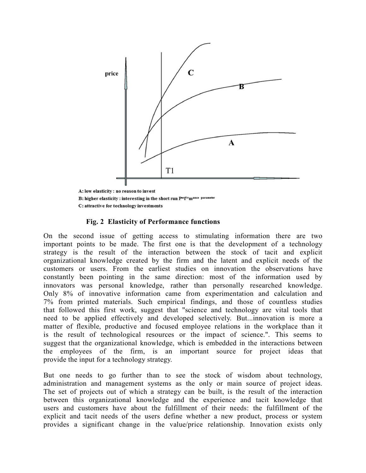

B: higher elasticity : interesting in the short run Performance parameter C: attractive for technology investments

### **Fig. 2 Elasticity of Performance functions**

On the second issue of getting access to stimulating information there are two important points to be made. The first one is that the development of a technology strategy is the result of the interaction between the stock of tacit and explicit organizational knowledge created by the firm and the latent and explicit needs of the customers or users. From the earliest studies on innovation the observations have constantly been pointing in the same direction: most of the information used by innovators was personal knowledge, rather than personally researched knowledge. Only 8% of innovative information came from experimentation and calculation and 7% from printed materials. Such empirical findings, and those of countless studies that followed this first work, suggest that "science and technology are vital tools that need to be applied effectively and developed selectively. But...innovation is more a matter of flexible, productive and focused employee relations in the workplace than it is the result of technological resources or the impact of science.". This seems to suggest that the organizational knowledge, which is embedded in the interactions between the employees of the firm, is an important source for project ideas that provide the input for a technology strategy.

But one needs to go further than to see the stock of wisdom about technology, administration and management systems as the only or main source of project ideas. The set of projects out of which a strategy can be built, is the result of the interaction between this organizational knowledge and the experience and tacit knowledge that users and customers have about the fulfillment of their needs: the fulfillment of the explicit and tacit needs of the users define whether a new product, process or system provides a significant change in the value/price relationship. Innovation exists only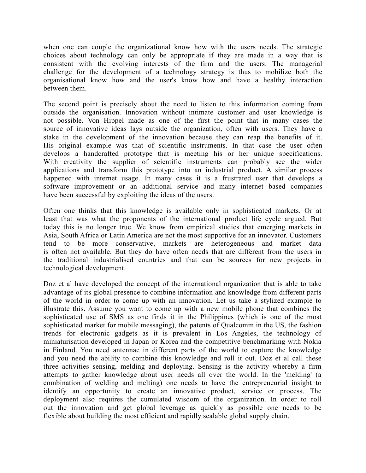when one can couple the organizational know how with the users needs. The strategic choices about technology can only be appropriate if they are made in a way that is consistent with the evolving interests of the firm and the users. The managerial challenge for the development of a technology strategy is thus to mobilize both the organisational know how and the user's know how and have a healthy interaction between them.

The second point is precisely about the need to listen to this information coming from outside the organisation. Innovation without intimate customer and user knowledge is not possible. Von Hippel made as one of the first the point that in many cases the source of innovative ideas lays outside the organization, often with users. They have a stake in the development of the innovation because they can reap the benefits of it. His original example was that of scientific instruments. In that case the user often develops a handcrafted prototype that is meeting his or her unique specifications. With creativity the supplier of scientific instruments can probably see the wider applications and transform this prototype into an industrial product. A similar process happened with internet usage. In many cases it is a frustrated user that develops a software improvement or an additional service and many internet based companies have been successful by exploiting the ideas of the users.

Often one thinks that this knowledge is available only in sophisticated markets. Or at least that was what the proponents of the international product life cycle argued. But today this is no longer true. We know from empirical studies that emerging markets in Asia, South Africa or Latin America are not the most supportive for an innovator. Customers tend to be more conservative, markets are heterogeneous and market data is often not available. But they do have often needs that are different from the users in the traditional industrialised countries and that can be sources for new projects in technological development.

Doz et al have developed the concept of the international organization that is able to take advantage of its global presence to combine information and knowledge from different parts of the world in order to come up with an innovation. Let us take a stylized example to illustrate this. Assume you want to come up with a new mobile phone that combines the sophisticated use of SMS as one finds it in the Philippines (which is one of the most sophisticated market for mobile messaging), the patents of Qualcomm in the US, the fashion trends for electronic gadgets as it is prevalent in Los Angeles, the technology of miniaturisation developed in Japan or Korea and the competitive benchmarking with Nokia in Finland. You need antennae in different parts of the world to capture the knowledge and you need the ability to combine this knowledge and roll it out. Doz et al call these three activities sensing, melding and deploying. Sensing is the activity whereby a firm attempts to gather knowledge about user needs all over the world. In the 'melding' (a combination of welding and melting) one needs to have the entrepreneurial insight to identify an opportunity to create an innovative product, service or process. The deployment also requires the cumulated wisdom of the organization. In order to roll out the innovation and get global leverage as quickly as possible one needs to be flexible about building the most efficient and rapidly scalable global supply chain.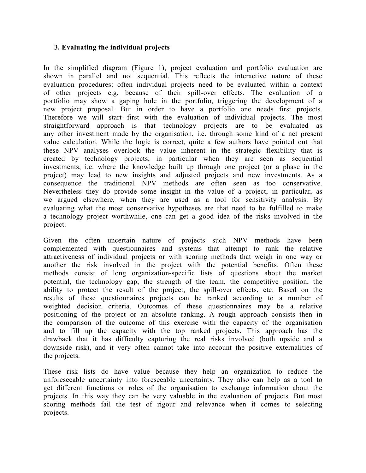## **3. Evaluating the individual projects**

In the simplified diagram (Figure 1), project evaluation and portfolio evaluation are shown in parallel and not sequential. This reflects the interactive nature of these evaluation procedures: often individual projects need to be evaluated within a context of other projects e.g. because of their spill-over effects. The evaluation of a portfolio may show a gaping hole in the portfolio, triggering the development of a new project proposal. But in order to have a portfolio one needs first projects. Therefore we will start first with the evaluation of individual projects. The most straightforward approach is that technology projects are to be evaluated as any other investment made by the organisation, i.e. through some kind of a net present value calculation. While the logic is correct, quite a few authors have pointed out that these NPV analyses overlook the value inherent in the strategic flexibility that is created by technology projects, in particular when they are seen as sequential investments, i.e. where the knowledge built up through one project (or a phase in the project) may lead to new insights and adjusted projects and new investments. As a consequence the traditional NPV methods are often seen as too conservative. Nevertheless they do provide some insight in the value of a project, in particular, as we argued elsewhere, when they are used as a tool for sensitivity analysis. By evaluating what the most conservative hypotheses are that need to be fulfilled to make a technology project worthwhile, one can get a good idea of the risks involved in the project.

Given the often uncertain nature of projects such NPV methods have been complemented with questionnaires and systems that attempt to rank the relative attractiveness of individual projects or with scoring methods that weigh in one way or another the risk involved in the project with the potential benefits. Often these methods consist of long organization-specific lists of questions about the market potential, the technology gap, the strength of the team, the competitive position, the ability to protect the result of the project, the spill-over effects, etc. Based on the results of these questionnaires projects can be ranked according to a number of weighted decision criteria. Outcomes of these questionnaires may be a relative positioning of the project or an absolute ranking. A rough approach consists then in the comparison of the outcome of this exercise with the capacity of the organisation and to fill up the capacity with the top ranked projects. This approach has the drawback that it has difficulty capturing the real risks involved (both upside and a downside risk), and it very often cannot take into account the positive externalities of the projects.

These risk lists do have value because they help an organization to reduce the unforeseeable uncertainty into foreseeable uncertainty. They also can help as a tool to get different functions or roles of the organisation to exchange information about the projects. In this way they can be very valuable in the evaluation of projects. But most scoring methods fail the test of rigour and relevance when it comes to selecting projects.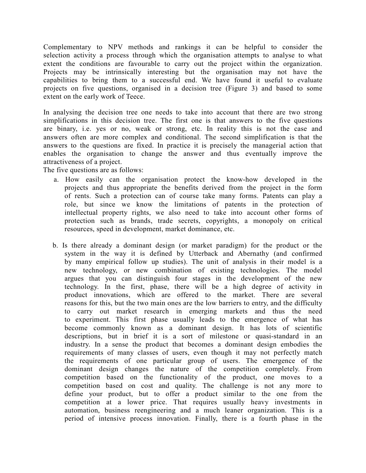Complementary to NPV methods and rankings it can be helpful to consider the selection activity a process through which the organisation attempts to analyse to what extent the conditions are favourable to carry out the project within the organization. Projects may be intrinsically interesting but the organisation may not have the capabilities to bring them to a successful end. We have found it useful to evaluate projects on five questions, organised in a decision tree (Figure 3) and based to some extent on the early work of Teece.

In analysing the decision tree one needs to take into account that there are two strong simplifications in this decision tree. The first one is that answers to the five questions are binary, i.e. yes or no, weak or strong, etc. In reality this is not the case and answers often are more complex and conditional. The second simplification is that the answers to the questions are fixed. In practice it is precisely the managerial action that enables the organisation to change the answer and thus eventually improve the attractiveness of a project.

The five questions are as follows:

- a. How easily can the organisation protect the know-how developed in the projects and thus appropriate the benefits derived from the project in the form of rents. Such a protection can of course take many forms. Patents can play a role, but since we know the limitations of patents in the protection of intellectual property rights, we also need to take into account other forms of protection such as brands, trade secrets, copyrights, a monopoly on critical resources, speed in development, market dominance, etc.
- b. Is there already a dominant design (or market paradigm) for the product or the system in the way it is defined by Utterback and Abernathy (and confirmed by many empirical follow up studies). The unit of analysis in their model is a new technology, or new combination of existing technologies. The model argues that you can distinguish four stages in the development of the new technology. In the first, phase, there will be a high degree of activity in product innovations, which are offered to the market. There are several reasons for this, but the two main ones are the low barriers to entry, and the difficulty to carry out market research in emerging markets and thus the need to experiment. This first phase usually leads to the emergence of what has become commonly known as a dominant design. It has lots of scientific descriptions, but in brief it is a sort of milestone or quasi-standard in an industry. In a sense the product that becomes a dominant design embodies the requirements of many classes of users, even though it may not perfectly match the requirements of one particular group of users. The emergence of the dominant design changes the nature of the competition completely. From competition based on the functionality of the product, one moves to a competition based on cost and quality. The challenge is not any more to define your product, but to offer a product similar to the one from the competition at a lower price. That requires usually heavy investments in automation, business reengineering and a much leaner organization. This is a period of intensive process innovation. Finally, there is a fourth phase in the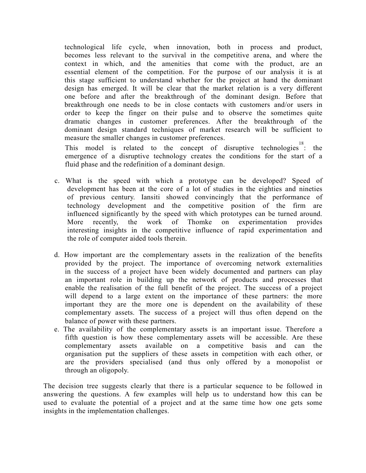technological life cycle, when innovation, both in process and product, becomes less relevant to the survival in the competitive arena, and where the context in which, and the amenities that come with the product, are an essential element of the competition. For the purpose of our analysis it is at this stage sufficient to understand whether for the project at hand the dominant design has emerged. It will be clear that the market relation is a very different one before and after the breakthrough of the dominant design. Before that breakthrough one needs to be in close contacts with customers and/or users in order to keep the finger on their pulse and to observe the sometimes quite dramatic changes in customer preferences. After the breakthrough of the dominant design standard techniques of market research will be sufficient to measure the smaller changes in customer preferences.

This model is related to the concept of disruptive technologies<sup>18</sup>: the emergence of a disruptive technology creates the conditions for the start of a fluid phase and the redefinition of a dominant design.

- c. What is the speed with which a prototype can be developed? Speed of development has been at the core of a lot of studies in the eighties and nineties of previous century. Iansiti showed convincingly that the performance of technology development and the competitive position of the firm are influenced significantly by the speed with which prototypes can be turned around. More recently, the work of Thomke on experimentation provides interesting insights in the competitive influence of rapid experimentation and the role of computer aided tools therein.
- d. How important are the complementary assets in the realization of the benefits provided by the project. The importance of overcoming network externalities in the success of a project have been widely documented and partners can play an important role in building up the network of products and processes that enable the realisation of the full benefit of the project. The success of a project will depend to a large extent on the importance of these partners: the more important they are the more one is dependent on the availability of these complementary assets. The success of a project will thus often depend on the balance of power with these partners.
- e. The availability of the complementary assets is an important issue. Therefore a fifth question is how these complementary assets will be accessible. Are these complementary assets available on a competitive basis and can the organisation put the suppliers of these assets in competition with each other, or are the providers specialised (and thus only offered by a monopolist or through an oligopoly.

The decision tree suggests clearly that there is a particular sequence to be followed in answering the questions. A few examples will help us to understand how this can be used to evaluate the potential of a project and at the same time how one gets some insights in the implementation challenges.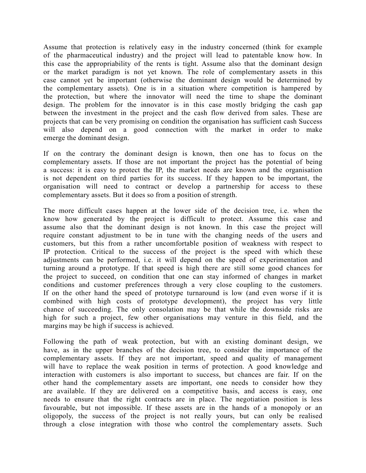Assume that protection is relatively easy in the industry concerned (think for example of the pharmaceutical industry) and the project will lead to patentable know how. In this case the appropriability of the rents is tight. Assume also that the dominant design or the market paradigm is not yet known. The role of complementary assets in this case cannot yet be important (otherwise the dominant design would be determined by the complementary assets). One is in a situation where competition is hampered by the protection, but where the innovator will need the time to shape the dominant design. The problem for the innovator is in this case mostly bridging the cash gap between the investment in the project and the cash flow derived from sales. These are projects that can be very promising on condition the organisation has sufficient cash Success will also depend on a good connection with the market in order to make emerge the dominant design.

If on the contrary the dominant design is known, then one has to focus on the complementary assets. If those are not important the project has the potential of being a success: it is easy to protect the IP, the market needs are known and the organisation is not dependent on third parties for its success. If they happen to be important, the organisation will need to contract or develop a partnership for access to these complementary assets. But it does so from a position of strength.

The more difficult cases happen at the lower side of the decision tree, i.e. when the know how generated by the project is difficult to protect. Assume this case and assume also that the dominant design is not known. In this case the project will require constant adjustment to be in tune with the changing needs of the users and customers, but this from a rather uncomfortable position of weakness with respect to IP protection. Critical to the success of the project is the speed with which these adjustments can be performed, i.e. it will depend on the speed of experimentation and turning around a prototype. If that speed is high there are still some good chances for the project to succeed, on condition that one can stay informed of changes in market conditions and customer preferences through a very close coupling to the customers. If on the other hand the speed of prototype turnaround is low (and even worse if it is combined with high costs of prototype development), the project has very little chance of succeeding. The only consolation may be that while the downside risks are high for such a project, few other organisations may venture in this field, and the margins may be high if success is achieved.

Following the path of weak protection, but with an existing dominant design, we have, as in the upper branches of the decision tree, to consider the importance of the complementary assets. If they are not important, speed and quality of management will have to replace the weak position in terms of protection. A good knowledge and interaction with customers is also important to success, but chances are fair. If on the other hand the complementary assets are important, one needs to consider how they are available. If they are delivered on a competitive basis, and access is easy, one needs to ensure that the right contracts are in place. The negotiation position is less favourable, but not impossible. If these assets are in the hands of a monopoly or an oligopoly, the success of the project is not really yours, but can only be realised through a close integration with those who control the complementary assets. Such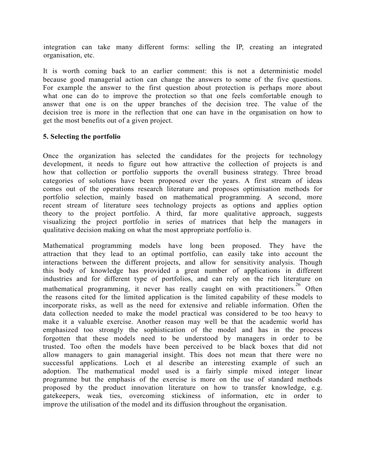integration can take many different forms: selling the IP, creating an integrated organisation, etc.

It is worth coming back to an earlier comment: this is not a deterministic model because good managerial action can change the answers to some of the five questions. For example the answer to the first question about protection is perhaps more about what one can do to improve the protection so that one feels comfortable enough to answer that one is on the upper branches of the decision tree. The value of the decision tree is more in the reflection that one can have in the organisation on how to get the most benefits out of a given project.

## **5. Selecting the portfolio**

Once the organization has selected the candidates for the projects for technology development, it needs to figure out how attractive the collection of projects is and how that collection or portfolio supports the overall business strategy. Three broad categories of solutions have been proposed over the years. A first stream of ideas comes out of the operations research literature and proposes optimisation methods for portfolio selection, mainly based on mathematical programming. A second, more recent stream of literature sees technology projects as options and applies option theory to the project portfolio. A third, far more qualitative approach, suggests visualizing the project portfolio in series of matrices that help the managers in qualitative decision making on what the most appropriate portfolio is.

Mathematical programming models have long been proposed. They have the attraction that they lead to an optimal portfolio, can easily take into account the interactions between the different projects, and allow for sensitivity analysis. Though this body of knowledge has provided a great number of applications in different industries and for different type of portfolios, and can rely on the rich literature on mathematical programming, it never has really caught on with practitioners.<sup>26</sup> Often the reasons cited for the limited application is the limited capability of these models to incorporate risks, as well as the need for extensive and reliable information. Often the data collection needed to make the model practical was considered to be too heavy to make it a valuable exercise. Another reason may well be that the academic world has emphasized too strongly the sophistication of the model and has in the process forgotten that these models need to be understood by managers in order to be trusted. Too often the models have been perceived to be black boxes that did not allow managers to gain managerial insight. This does not mean that there were no successful applications. Loch et al describe an interesting example of such an adoption. The mathematical model used is a fairly simple mixed integer linear programme but the emphasis of the exercise is more on the use of standard methods proposed by the product innovation literature on how to transfer knowledge, e.g. gatekeepers, weak ties, overcoming stickiness of information, etc in order to improve the utilisation of the model and its diffusion throughout the organisation.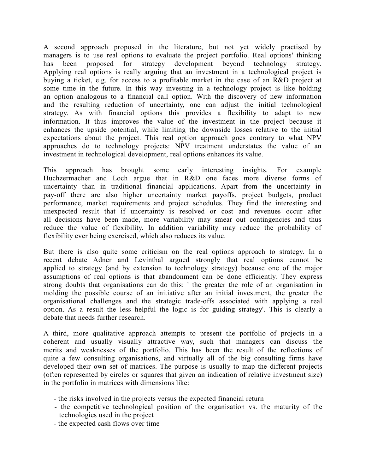A second approach proposed in the literature, but not yet widely practised by managers is to use real options to evaluate the project portfolio. Real options' thinking has been proposed for strategy development beyond technology strategy. Applying real options is really arguing that an investment in a technological project is buying a ticket, e.g. for access to a profitable market in the case of an R&D project at some time in the future. In this way investing in a technology project is like holding an option analogous to a financial call option. With the discovery of new information and the resulting reduction of uncertainty, one can adjust the initial technological strategy. As with financial options this provides a flexibility to adapt to new information. It thus improves the value of the investment in the project because it enhances the upside potential, while limiting the downside losses relative to the initial expectations about the project. This real option approach goes contrary to what NPV approaches do to technology projects: NPV treatment understates the value of an investment in technological development, real options enhances its value.

This approach has brought some early interesting insights. For example Huchzermacher and Loch argue that in R&D one faces more diverse forms of uncertainty than in traditional financial applications. Apart from the uncertainty in pay-off there are also higher uncertainty market payoffs, project budgets, product performance, market requirements and project schedules. They find the interesting and unexpected result that if uncertainty is resolved or cost and revenues occur after all decisions have been made, more variability may smear out contingencies and thus reduce the value of flexibility. In addition variability may reduce the probability of flexibility ever being exercised, which also reduces its value.

But there is also quite some criticism on the real options approach to strategy. In a recent debate Adner and Levinthal argued strongly that real options cannot be applied to strategy (and by extension to technology strategy) because one of the major assumptions of real options is that abandonment can be done efficiently. They express strong doubts that organisations can do this: ' the greater the role of an organisation in molding the possible course of an initiative after an initial investment, the greater the organisational challenges and the strategic trade-offs associated with applying a real option. As a result the less helpful the logic is for guiding strategy'. This is clearly a debate that needs further research.

A third, more qualitative approach attempts to present the portfolio of projects in a coherent and usually visually attractive way, such that managers can discuss the merits and weaknesses of the portfolio. This has been the result of the reflections of quite a few consulting organisations, and virtually all of the big consulting firms have developed their own set of matrices. The purpose is usually to map the different projects (often represented by circles or squares that given an indication of relative investment size) in the portfolio in matrices with dimensions like:

- the risks involved in the projects versus the expected financial return
- the competitive technological position of the organisation vs. the maturity of the technologies used in the project
- the expected cash flows over time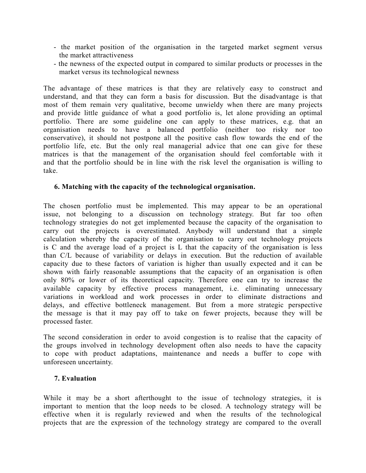- the market position of the organisation in the targeted market segment versus the market attractiveness
- the newness of the expected output in compared to similar products or processes in the market versus its technological newness

The advantage of these matrices is that they are relatively easy to construct and understand, and that they can form a basis for discussion. But the disadvantage is that most of them remain very qualitative, become unwieldy when there are many projects and provide little guidance of what a good portfolio is, let alone providing an optimal portfolio. There are some guideline one can apply to these matrices, e.g. that an organisation needs to have a balanced portfolio (neither too risky nor too conservative), it should not postpone all the positive cash flow towards the end of the portfolio life, etc. But the only real managerial advice that one can give for these matrices is that the management of the organisation should feel comfortable with it and that the portfolio should be in line with the risk level the organisation is willing to take.

## **6. Matching with the capacity of the technological organisation.**

The chosen portfolio must be implemented. This may appear to be an operational issue, not belonging to a discussion on technology strategy. But far too often technology strategies do not get implemented because the capacity of the organisation to carry out the projects is overestimated. Anybody will understand that a simple calculation whereby the capacity of the organisation to carry out technology projects is C and the average load of a project is L that the capacity of the organisation is less than C/L because of variability or delays in execution. But the reduction of available capacity due to these factors of variation is higher than usually expected and it can be shown with fairly reasonable assumptions that the capacity of an organisation is often only 80% or lower of its theoretical capacity. Therefore one can try to increase the available capacity by effective process management, i.e. eliminating unnecessary variations in workload and work processes in order to eliminate distractions and delays, and effective bottleneck management. But from a more strategic perspective the message is that it may pay off to take on fewer projects, because they will be processed faster.

The second consideration in order to avoid congestion is to realise that the capacity of the groups involved in technology development often also needs to have the capacity to cope with product adaptations, maintenance and needs a buffer to cope with unforeseen uncertainty.

### **7. Evaluation**

While it may be a short afterthought to the issue of technology strategies, it is important to mention that the loop needs to be closed. A technology strategy will be effective when it is regularly reviewed and when the results of the technological projects that are the expression of the technology strategy are compared to the overall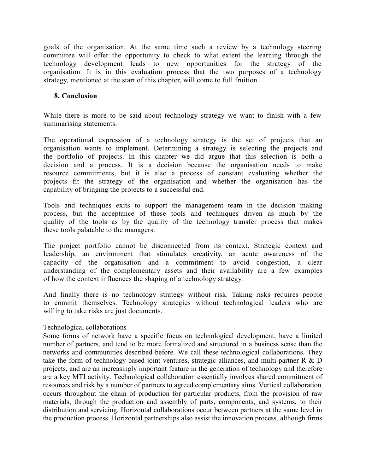goals of the organisation. At the same time such a review by a technology steering committee will offer the opportunity to check to what extent the learning through the technology development leads to new opportunities for the strategy of the organisation. It is in this evaluation process that the two purposes of a technology strategy, mentioned at the start of this chapter, will come to full fruition.

### **8. Conclusion**

While there is more to be said about technology strategy we want to finish with a few summarising statements.

The operational expression of a technology strategy is the set of projects that an organisation wants to implement. Determining a strategy is selecting the projects and the portfolio of projects. In this chapter we did argue that this selection is both a decision and a process. It is a decision because the organisation needs to make resource commitments, but it is also a process of constant evaluating whether the projects fit the strategy of the organisation and whether the organisation has the capability of bringing the projects to a successful end.

Tools and techniques exits to support the management team in the decision making process, but the acceptance of these tools and techniques driven as much by the quality of the tools as by the quality of the technology transfer process that makes these tools palatable to the managers.

The project portfolio cannot be disconnected from its context. Strategic context and leadership, an environment that stimulates creativity, an acute awareness of the capacity of the organisation and a commitment to avoid congestion, a clear understanding of the complementary assets and their availability are a few examples of how the context influences the shaping of a technology strategy.

And finally there is no technology strategy without risk. Taking risks requires people to commit themselves. Technology strategies without technological leaders who are willing to take risks are just documents.

### Technological collaborations

Some forms of network have a specific focus on technological development, have a limited number of partners, and tend to be more formalized and structured in a business sense than the networks and communities described before. We call these technological collaborations. They take the form of technology-based joint ventures, strategic alliances, and multi-partner R & D projects, and are an increasingly important feature in the generation of technology and therefore are a key MTI activity. Technological collaboration essentially involves shared commitment of resources and risk by a number of partners to agreed complementary aims. Vertical collaboration occurs throughout the chain of production for particular products, from the provision of raw materials, through the production and assembly of parts, components, and systems, to their distribution and servicing. Horizontal collaborations occur between partners at the same level in the production process. Horizontal partnerships also assist the innovation process, although firms